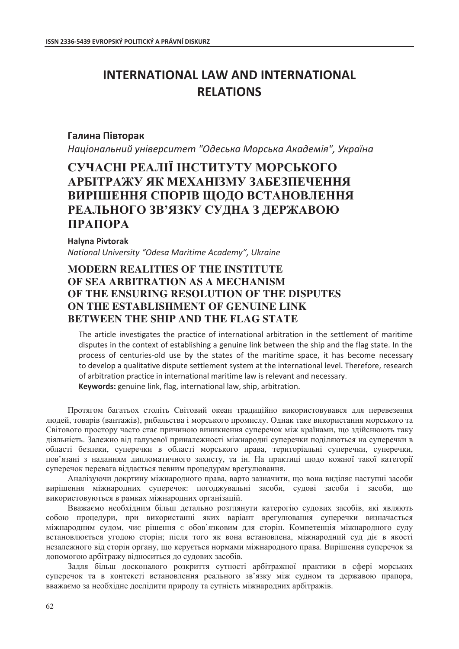# **INTERNATIONAL LAW AND INTERNATIONAL RELATIONS**

### **Галина Півторак**

Національний університет "Одеська Морська Академія", Україна

## СУЧАСНІ РЕАЛІЇ ІНСТИТУТУ МОРСЬКОГО **ȺɊȻȱɌɊȺɀɍ əɄ ɆȿɏȺɇȱɁɆɍ ɁȺȻȿɁɉȿɑȿɇɇə ВИРІШЕННЯ СПОРІВ ЩОДО ВСТАНОВЛЕННЯ РЕАЛЬНОГО ЗВ'ЯЗКУ СУДНА З ДЕРЖАВОЮ ɉɊȺɉɈɊȺ**

**Halyna Pivtorak** *National University "Odesa Maritime Academy", Ukraine* 

## **MODERN REALITIES ɈF THE INSTITUTE OF SEA ARBITRATION AS A MECHANISM OF THE ENSURING RESOLUTION OF THE DISPUTES ON THE ESTABLISHMENT OF GENUINE LINK BETWEEN THE SHIP AND THE FLAG STATE**

The article investigates the practice of international arbitration in the settlement of maritime disputes in the context of establishing a genuine link between the ship and the flag state. In the process of centuries-old use by the states of the maritime space, it has become necessary to develop a qualitative dispute settlement system at the international level. Therefore, research of arbitration practice in international maritime law is relevant and necessary. **Keywords:** genuine link, flag, international law, ship, arbitration.

Протягом багатьох століть Світовий океан традиційно використовувався для перевезення людей, товарів (вантажів), рибальства і морського промислу. Однак таке використання морського та Світового простору часто стає причиною виникнення суперечок між країнами, що здійснюють таку діяльність. Залежно від галузевої приналежності міжнародні суперечки поділяються на суперечки в області безпеки, суперечки в області морського права, територіальні суперечки, суперечки, пов'язані з наданням дипломатичного захисту, та ін. На практиці щодо кожної такої категорії суперечок перевага віддається певним процедурам врегулювання.

Аналізуючи докртину міжнародного права, варто зазначити, що вона виділяє наступні засоби вирішення міжнародних суперечок: погоджувальні засоби, судові засоби і засоби, що використовуються в рамках міжнародних організацій.

Вважаємо необхідним більш детально розглянути катерогію судових засобів, які являють собою процедури, при використанні яких варіант врегулювання суперечки визначається міжнародним судом, чиє рішення є обов'язковим для сторін. Компетенція міжнародного суду встановлюється угодою сторін; після того як вона встановлена, міжнародний суд діє в якості незалежного від сторін органу, що керується нормами міжнародного права. Вирішення суперечок за допомогою арбітражу відноситься до судових засобів.

Задля більш досконалого розкриття сутності арбітражної практики в сфері морських суперечок та в контексті встановлення реального зв'язку між судном та державою прапора, вважаємо за необхідне дослідити природу та сутність міжнародних арбітражів.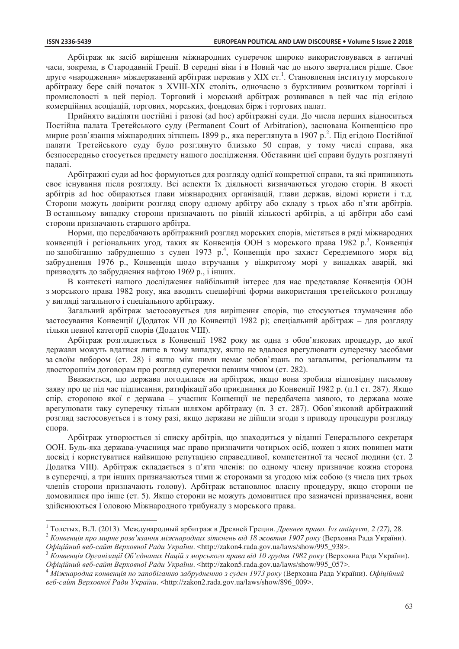$\overline{a}$ 

Арбітраж як засіб вирішення міжнародних суперечок широко використовувався в античні часи, зокрема, в Стародавній Греції. В середні віки і в Новий час до нього зверталися рідше. Своє друге «народження» міждержавний арбітраж пережив у XIX ст.<sup>1</sup>. Становлення інституту морського арбітражу бере свій початок з XVIII-XIX століть, одночасно з бурхливим розвитком торгівлі і промисловості в цей період. Торговий і морський арбітраж розвивався в цей час під егідою комерційних асоціацій, торгових, морських, фондових бірж і торгових палат.

Прийнято виділяти постійні і разові (ad hoc) арбітражні суди. До числа перших відноситься Постійна палата Третейського суду (Permanent Court of Arbitration), заснована Конвенцією про мирне розв'язання міжнародних зіткнень 1899 р., яка переглянута в 1907 р.<sup>2</sup>. Під егідою Постійної палати Третейського суду було розглянуто близько 50 справ, у тому числі справа, яка безпосередньо стосується предмету нашого дослідження. Обставини цієї справи будуть розглянуті надалі.

Арбітражні суди ad hoc формуються для розгляду однієї конкретної справи, та які припиняють своє існування після розглялу. Всі аспекти їх ліяльності визначаються уголою сторін. В якості арбітрів ad hoc обираються глави міжнародних організацій, глави держав, відомі юристи і т.д. Сторони можуть довірити розгляд спору одному арбітру або складу з трьох або п'яти арбітрів. В останньому випадку сторони призначають по рівній кількості арбітрів, а ці арбітри або самі сторони призначають старшого арбітра.

Норми, що передбачають арбітражний розгляд морських спорів, містяться в ряді міжнародних конвенцій і регіональних угод, таких як Конвенція ООН з морського права 1982 р.<sup>3</sup>, Конвенція по запобіганню забрудненню з суден 1973 р.<sup>4</sup>, Конвенція про захист Середземного моря від забруднення 1976 р., Конвенція щодо втручання у відкритому морі у випадках аварій, які призводять до забруднення нафтою 1969 р., і інших.

В контексті нашого дослідження найбільший інтерес для нас представляє Конвенція ООН з морського права 1982 року, яка вводить специфічні форми використання третейського розгляду у вигляді загального і спеціального арбітражу.

Загальний арбітраж застосовується для вирішення спорів, що стосуються тлумачення або застосування Конвенції (Додаток VII до Конвенції 1982 р); спеціальний арбітраж – для розгляду тільки певної категорії спорів (Додаток VIII).

Арбітраж розглядається в Конвенції 1982 року як одна з обов'язкових процедур, до якої держави можуть вдатися лише в тому випадку, якщо не вдалося врегулювати суперечку засобами за своїм вибором (ст. 28) і якщо між ними немає зобов'язань по загальним, регіональним та двостороннім договорам про розгляд суперечки певним чином (ст. 282).

Вважається, що держава погодилася на арбітраж, якщо вона зробила відповідну письмову заяву про це під час підписання, ратифікації або приєднання до Конвенції 1982 р. (п.1 ст. 287). Якщо спір, стороною якої є держава - учасник Конвенції не передбачена заявою, то держава може врегулювати таку суперечку тільки шляхом арбітражу (п. 3 ст. 287). Обов'язковий арбітражний розгляд застосовується і в тому разі, якщо держави не дійшли згоди з приводу процедури розгляду спора.

Арбітраж утворюється зі списку арбітрів, що знаходиться у віданні Генерального секретаря ООН. Будь-яка держава-учасниця має право призначити чотирьох осіб, кожен з яких повинен мати досвід і користуватися найвищою репутацією справедливої, компетентної та чесної людини (ст. 2 Додатка VIII). Арбітраж складається з п'яти членів: по одному члену призначає кожна сторона в суперечці, а три інших призначаються тими ж сторонами за угодою між собою (з числа цих трьох членів сторони призначають голову). Арбітраж встановлює власну процедуру, якщо сторони не домовилися про інше (ст. 5). Якщо сторони не можуть домовитися про зазначені призначення, вони здійснюються Головою Міжнародного трибуналу з морського права.

<sup>&</sup>lt;sup>1</sup> Толстых, В.Л. (2013). Международный арбитраж в Древней Греции. *Древнее право. Ivs antiqvvm, 2 (27), 2*8.<br><sup>2</sup> Конвенція про мирне розв'язання міжнародних зіткнень від 18 жовтня 1907 року (Верховна Рада України).

Офіційний веб-сайт Верховної Ради України. <http://zakon4.rada.gov.ua/laws/show/995\_938>.<br><sup>3</sup> Конвениія Організації Об'єднаних Націй з морського права від 10 грудня 1982 року (Верховна Рада України).

Офіційний веб-сайт Верховної Ради України. <http://zakon5.rada.gov.ua/laws/show/995\_057>.<br><sup>4</sup> Міжнародна конвенція по запобіганню забрудненню з суден 1973 року (Верховна Рада України). Офіційний

 $e$ 6-сайт Верховної Ради України. <http://zakon2.rada.gov.ua/laws/show/896\_009>.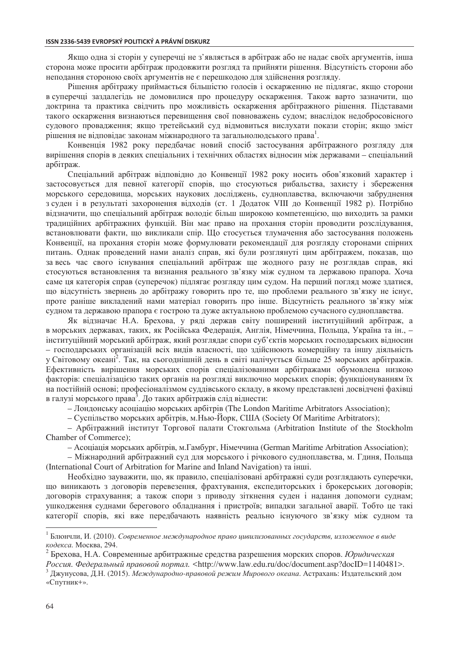Якщо одна зі сторін у суперечці не з'являється в арбітраж або не надає своїх аргументів, інша сторона може просити арбітраж продовжити розгляд та прийняти рішення. Відсутність сторони або неподання стороною своїх аргументів не є перешкодою для здійснення розгляду.

Рішення арбітражу приймається більшістю голосів і оскарженню не підлягає, якщо сторони в суперечці заздалегідь не домовилися про процедуру оскарження. Також варто зазначити, що доктрина та практика свідчить про можливість оскарження арбітражного рішення. Підставами такого оскарження визнаються перевищення свої повноважень судом; внаслідок недобросовісного судового провадження; якщо третейський суд відмовиться вислухати покази сторін; якщо зміст рішення не відповідає законам міжнародного та загальнолюдського права $^{\rm l}$ .

Конвенція 1982 року передбачає новий спосіб застосування арбітражного розгляду для вирішення спорів в деяких спеціальних і технічних областях відносин між державами – спеціальний арбітраж.

Спеціальний арбітраж відповідно до Конвенції 1982 року носить обов'язковий характер і застосовується для певної категорії спорів, що стосуються рибальства, захисту і збереження морського середовища, морських наукових досліджень, судноплавства, включаючи забруднення з суден і в результаті захоронення відходів (ст. 1 Додаток VIII до Конвенції 1982 р). Потрібно відзначити, що спеціальний арбітраж володіє більш широкою компетенцією, що виходить за рамки традиційних арбітражних функцій. Він має право на прохання сторін проводити розслідування, встановлювати факти, що викликали спір. Що стосується тлумачення або застосування положень Конвенції, на прохання сторін може формулювати рекомендації для розгляду сторонами спірних питань. Однак проведений нами аналіз справ, які були розглянуті цим арбітражем, показав, що за весь час свого існування спеціальний арбітраж ще жодного разу не розглядав справ, які стосуються встановлення та визнання реального зв'язку між судном та державою прапора. Хоча саме ця категорія справ (суперечок) підлягає розгляду цим судом. На перший погляд може здатися, що відсутність звернень до арбітражу говорить про те, що проблеми реального зв'язку не існує, проте раніше викладений нами матеріал говорить про інше. Відсутність реального зв'язку між судном та державою прапора є гострою та дуже актуальною проблемою сучасного судноплавства.

Як відзначає Н.А. Брехова, у ряді держав світу поширений інституційний арбітраж, а в морських державах, таких, як Російська Федерація, Англія, Німеччина, Польща, Україна та ін., – інституційний морський арбітраж, який розглядає спори суб'єктів морських господарських відносин – господарських організацій всіх видів власності, що здійснюють комерційну та іншу діяльність у Світовому океані<sup>2</sup>. Так, на сьогоднішній день в світі налічується більше 25 морських арбітражів. Ефективність вирішення морських спорів спеціалізованими арбітражами обумовлена низкою факторів: спеціалізацією таких органів на розгляді виключно морських спорів; функціонуванням їх на постійній основі; професіоналізмом суддівського складу, в якому представлені досвідчені фахівці в галузі морського права<sup>3</sup>. До таких арбітражів слід віднести:

– Лондонську асоціацію морських арбітрів (The London Maritime Arbitrators Association);

– Суспільство морських арбітрів, м. Нью-Йорк, США (Society Of Maritime Arbitrators);

– Арбітражний інститут Торгової палати Стокгольма (Arbitration Institute of the Stockholm Chamber of Commerce);

– Асоціація морських арбітрів, м. Гамбург, Німеччина (German Maritime Arbitration Association);

– Міжнародний арбітражний суд для морського і річкового судноплавства, м. Гдиня, Польща (International Court of Arbitration for Marine and Inland Navigation) та інші.

Необхідно зауважити, що, як правило, спеціалізовані арбітражні суди розглядають суперечки, що виникають з договорів перевезення, фрахтування, експедиторських і брокерських договорів; договорів страхування; а також спори з приводу зіткнення суден і надання допомоги суднам; ушкодження суднами берегового обладнання і пристроїв; випадки загальної аварії. Тобто це такі категорії спорів, які вже передбачають наявність реально існуючого зв'язку між судном та

 $\overline{a}$ 

<sup>&</sup>lt;sup>1</sup> Блюнчли, И. (2010). Современное международное право цивилизованных государств, изложенное в виде  $κο$  $δ$ *eκca*. **Moc***k*Ba, 294.

 $^{2}$  Брехова, Н.А. Современные арбитражные средства разрешения морских споров. *Юридическая* 

Россия. Федеральный правовой портал. <http://www.law.edu.ru/doc/document.asp?docID=1140481>.<br><sup>3</sup> Джунусова, Д.Н. (2015). Международно-правовой режим Мирового океана. Астрахань: Издательский дом «Спутник+».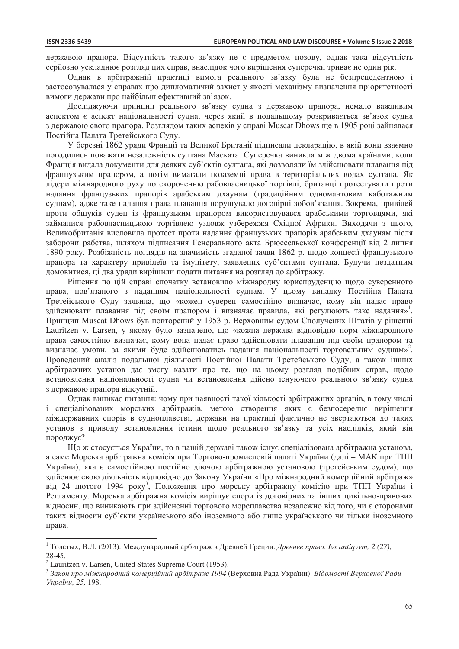державою прапора. Відсутність такого зв'язку не є предметом позову, однак така відсутність серйозно ускладнює розгляд цих справ, внаслідок чого вирішення суперечки триває не один рік.

Однак в арбітражній практиці вимога реального зв'язку була не безпрецедентною і застосовувалася у справах про дипломатичий захист у якості механізму визначення пріоритетності вимоги держави про найбільш ефективний зв'язок.

Досліджуючи принцип реального зв'язку судна з державою прапора, немало важливим аспектом є аспект національності судна, через який в подальшому розкривається зв'язок судна з державою свого прапора. Розглядом таких аспеків у справі Muscat Dhows ще в 1905 році зайнялася Постійна Палата Третейського Суду.

У березні 1862 уряди Франції та Великої Британії підписали декларацію, в якій вони взаємно погодились поважати незалежність султана Маската. Суперечка виникла між двома країнами, коли Франція видала документи для деяких суб'єктів султана, які дозволяли їм здійснювати плавання під французьким прапором, а потім вимагали позаземні права в територіальних водах султана. Як лідери міжнародного руху по скороченню рабовласницької торгівлі, британці протестували проти надання французьких прапорів арабським дхаунам (традиційним одномачтовим каботажним суднам), адже таке надання права плавання порушувало договірні зобов'язання. Зокрема, привілей проти обшуків суден із французьким прапором використовувався арабськими торговцями, які займалися рабовласницькою торгівлею уздовж узбережжя Східної Африки. Виходячи з цього, Великобританія висловила протест проти надання французьких прапорів арабським дхаунам після заборони рабства, шляхом підписання Генерального акта Брюссельської конференції від 2 липня 1890 року. Розбіжність поглядів на значимість згаданої заяви 1862 р. щодо концесії французького прапора та характеру привілеїв та імунітету, заявлених суб'єктами султана. Будучи нездатним домовитися, ці два уряди вирішили подати питання на розгляд до арбітражу.

Рішення по цій справі спочатку встановило міжнародну юриспруденцію щодо суверенного права, пов'язаного з наданням національності суднам. У цьому випадку Постійна Палата Третейського Суду заявила, що «кожен суверен самостійно визначає, кому він надає право здійснювати плавання під своїм прапором і визначає правила, які регулюють таке надання»<sup>1</sup>. Принцип Muscat Dhows був повторений у 1953 р. Верховним судом Сполучених Штатів у рішенні Lauritzen v. Larsen, у якому було зазначено, що «кожна держава відповідно норм міжнародного права самостійно визначає, кому вона надає право здійснювати плавання під своїм прапором та визначає умови, за якими буде здійснюватись надання національності торговельним суднам»<sup>2</sup>. Проведений аналіз подальшої діяльності Постійної Палати Третейського Суду, а також інших арбітражних установ дає змогу казати про те, що на цьому розгляд подібних справ, щодо встановлення національності судна чи встановлення дійсно існуючого реального зв'язку судна з державою прапора відсутній.

Однак виникає питання: чому при наявності такої кількості арбітражних органів, в тому числі і спеціалізованих морських арбітражів, метою створення яких є безпосереднє вирішення міждержавних спорів в судноплавстві, держави на практиці фактично не звертаються до таких установ з приводу встановлення істини щодо реального зв'язку та усіх наслідків, який він породжує?

Що ж стосується України, то в нашій державі також існує спеціалізована арбітражна установа, а саме Морська арбітражна комісія при Торгово-промисловій палаті України (далі – МАК при ТПП України), яка є самостійною постійно діючою арбітражною установою (третейським судом), що здійснює свою діяльність відповідно до Закону України «Про міжнародний комерційний арбітраж» від 24 лютого 1994 року<sup>3</sup>, Положення про морську арбітражну комісію при ТПП України і Регламенту. Морська арбітражна комісія вирішує спори із договірних та інших цивільно-правових відносин, що виникають при здійсненні торгового мореплавства незалежно від того, чи є сторонами таких відносин суб'єкти українського або іноземного або лише українського чи тільки іноземного права.

 $\overline{a}$ 

<sup>&</sup>lt;sup>1</sup> Толстых, В.Л. (2013). Международный арбитраж в Древней Греции. *Древнее право. Ivs antiqvvm*, 2 (27), 28-45.

 $2$  Lauritzen v. Larsen, United States Supreme Court (1953).

<sup>&</sup>lt;sup>3</sup> Закон про міжнародний комерційний арбітраж 1994 (Верховна Рада України). Відомості Верховної Ради *ɍɤɪɚʀɧɢ, 25,* 198.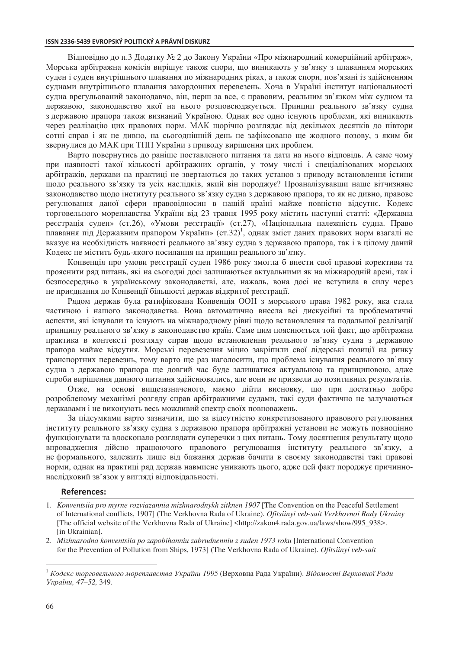### **ISSN 2336-5439 EVROPSKÝ POLITICKÝ A PRÁVNÍ DISKURZ**

Відповідно до п.3 Додатку № 2 до Закону України «Про міжнародний комерційний арбітраж», Морська арбітражна комісія вирішує також спори, що виникають у зв'язку з плаванням морських суден і суден внутрішнього плавання по міжнародних ріках, а також спори, пов'язані із здійсненням суднами внутрішнього плавання закордонних перевезень. Хоча в Україні інститут національності судна врегульований законодавчо, він, перш за все, є правовим, реальним зв'язком між судном та державою, законодавство якої на нього розповсюджується. Принцип реального зв'язку судна з державою прапора також визнаний Україною. Однак все одно існують проблеми, які виникають через реалізацію цих правових норм. МАК щорічно розглядає від декількох десятків до півтори сотні справ і як не дивно, на сьогоднішній день не зафіксовано ще жодного позову, з яким би звернулися до МАК при ТПП України з приводу вирішення цих проблем.

Варто повернутись до раніше поставленого питання та дати на нього відповідь. А саме чому при наявності такої кількості арбітражних органів, у тому числі і спеціалізованих морських арбітражів, держави на практиці не звертаються до таких установ з приводу встановлення істини щодо реального зв'язку та усіх наслідків, який він породжує? Проаналізувавши наше вітчизняне законодавство щодо інституту реального зв'язку судна з державою прапора, то як не дивно, правове регулювання даної сфери правовідносин в нашій країні майже повністю відсутнє. Кодекс торговельного мореплавства України від 23 травня 1995 року містить наступні статті: «Державна реєстрація суден» (ст.26), «Умови реєстрації» (ст.27), «Національна належність судна. Право плавання під Державним прапором України» (ст.32)<sup>1</sup>, однак зміст даних правових норм взагалі не вказує на необхідність наявності реального зв'язку судна з державою прапора, так і в цілому даний Кодекс не містить будь-якого посилання на принцип реального зв'язку.

Конвенція про умови реєстрації суден 1986 року змогла б внести свої правові корективи та прояснити ряд питань, які на сьогодні досі залишаються актуальними як на міжнародній арені, так і безпосередньо в українському законодавстві, але, нажаль, вона досі не вступила в силу через не приєднання до Конвенції більшості держав відкритої реєстрації.

Рядом держав була ратифікована Конвенція ООН з морського права 1982 року, яка стала частиною і нашого законодавства. Вона автоматично внесла всі дискусійні та проблематичні аспекти, які існували та існують на міжнародному рівні щодо встановлення та подальшої реалізації принципу реального зв'язку в законодавство країн. Саме цим пояснюється той факт, що арбітражна практика в контексті розгляду справ щодо встановлення реального зв'язку судна з державою прапора майже відсутня. Морські перевезення міцно закріпили свої лідерські позиції на ринку транспортних перевезнь, тому варто ще раз наголосити, що проблема існування реального зв'язку судна з державою прапора ще довгий час буде залишатися актуальною та принциповою, адже спроби вирішення данного питання здійснювались, але вони не призвели до позитивних результатів.

Отже, на основі вищезазначеного, маємо дійти висновку, що при достатньо добре розробленому механізмі розгяду справ арбітражними судами, такі суди фактично не залучаються державами і не виконують весь можливий спектр своїх повноважень.

За підсумками варто зазначити, що за відсутністю конкретизованого правового регулювання нституту реального зв'язку судна з державою прапора арбітражні установи не можуть повноцінно функціонувати та вдосконало розглядати суперечки з цих питань. Тому досягнення результату щодо впровадження дійсно працюючого правового регулювання інституту реального зв'язку, а не формального, залежить лише від бажання держав бачити в своєму законодавстві такі правові норми, однак на практиці ряд держав навмисне уникають цього, адже цей факт породжує причиннонаслідковий зв'язок у вигляді відповідальності.

#### **References:**

- 1. *Konventsiia pro myrne rozviazannia mizhnarodnykh zitknen 1907* [The Convention on the Peaceful Settlement of International conflicts, 1907] (The Verkhovna Rada of Ukraine)*. Ofitsiinyi veb-sait Verkhovnoi Rady Ukrainy* [The official website of the Verkhovna Rada of Ukraine] <http://zakon4.rada.gov.ua/laws/show/995\_938>. [in Ukrainian].
- 2. *Mizhnarodna konventsiia po zapobihanniu zabrudnenniu z suden 1973 roku* [International Convention for the Prevention of Pollution from Ships, 1973] (The Verkhovna Rada of Ukraine)*. Ofitsiinyi veb-sait*

 $\overline{a}$ 

<sup>&</sup>lt;sup>1</sup> Кодекс торговельного мореплавства України 1995 (Верховна Рада України). Відомості Верховної Ради *ɍɤɪɚʀɧɢ, 47–52,* 349.